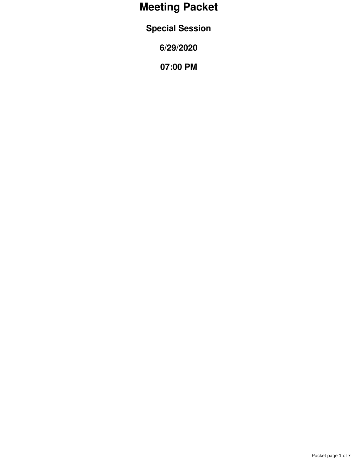# **Meeting Packet**

**Special Session**

**6/29/2020**

**07:00 PM**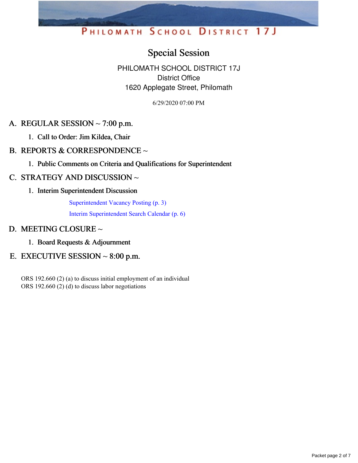## PHILOMATH SCHOOL DISTRICT 17J

## Special Session

PHILOMATH SCHOOL DISTRICT 17J District Office 1620 Applegate Street, Philomath

6/29/2020 07:00 PM

## A. REGULAR SESSION  $\sim$  7:00 p.m.

- 1. Call to Order: Jim Kildea, Chair
- B. REPORTS & CORRESPONDENCE  $\sim$ 
	- 1. Public Comments on Criteria and Qualifications for Superintendent

## C. STRATEGY AND DISCUSSION ~

1. Interim Superintendent Discussion

[Superintendent](https://app.eduportal.com/documents/view/759285) Vacancy Posting (p. 3)

Interim [Superintendent](https://app.eduportal.com/documents/view/759284) Search Calendar (p. 6)

## D. MEETING CLOSURE ~

1. Board Requests & Adjournment

## E. EXECUTIVE SESSION  $\sim 8:00$  p.m.

ORS 192.660 (2) (a) to discuss initial employment of an individual ORS 192.660 (2) (d) to discuss labor negotiations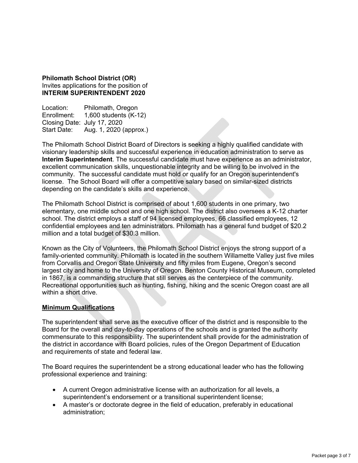**Philomath School District (OR)**  Invites applications for the position of **INTERIM SUPERINTENDENT 2020** 

Location: Philomath, Oregon Enrollment: 1,600 students (K-12) Closing Date: July 17, 2020 Start Date: Aug. 1, 2020 (approx.)

The Philomath School District Board of Directors is seeking a highly qualified candidate with visionary leadership skills and successful experience in education administration to serve as **Interim Superintendent**. The successful candidate must have experience as an administrator, excellent communication skills, unquestionable integrity and be willing to be involved in the community. The successful candidate must hold or qualify for an Oregon superintendent's license. The School Board will offer a competitive salary based on similar-sized districts depending on the candidate's skills and experience.

The Philomath School District is comprised of about 1,600 students in one primary, two elementary, one middle school and one high school. The district also oversees a K-12 charter school. The district employs a staff of 94 licensed employees, 66 classified employees, 12 confidential employees and ten administrators. Philomath has a general fund budget of \$20.2 million and a total budget of \$30.3 million.

Known as the City of Volunteers, the Philomath School District enjoys the strong support of a family-oriented community. Philomath is located in the southern Willamette Valley just five miles from Corvallis and Oregon State University and fifty miles from Eugene, Oregon's second largest city and home to the University of Oregon. Benton County Historical Museum, completed in 1867, is a commanding structure that still serves as the centerpiece of the community. Recreational opportunities such as hunting, fishing, hiking and the scenic Oregon coast are all within a short drive.

#### **Minimum Qualifications**

The superintendent shall serve as the executive officer of the district and is responsible to the Board for the overall and day-to-day operations of the schools and is granted the authority commensurate to this responsibility. The superintendent shall provide for the administration of the district in accordance with Board policies, rules of the Oregon Department of Education and requirements of state and federal law.

The Board requires the superintendent be a strong educational leader who has the following professional experience and training:

- A current Oregon administrative license with an authorization for all levels, a superintendent's endorsement or a transitional superintendent license;
- A master's or doctorate degree in the field of education, preferably in educational administration;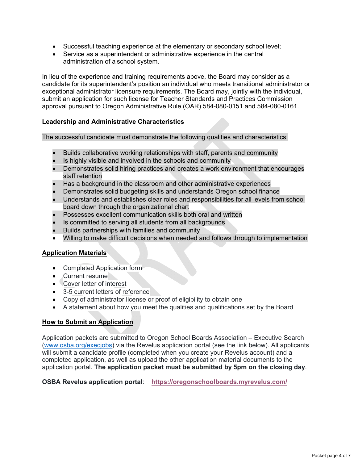- Successful teaching experience at the elementary or secondary school level;
- Service as a superintendent or administrative experience in the central administration of a school system.

In lieu of the experience and training requirements above, the Board may consider as a candidate for its superintendent's position an individual who meets transitional administrator or exceptional administrator licensure requirements. The Board may, jointly with the individual, submit an application for such license for Teacher Standards and Practices Commission approval pursuant to Oregon Administrative Rule (OAR) 584-080-0151 and 584-080-0161.

#### **Leadership and Administrative Characteristics**

The successful candidate must demonstrate the following qualities and characteristics:

- Builds collaborative working relationships with staff, parents and community
- Is highly visible and involved in the schools and community
- Demonstrates solid hiring practices and creates a work environment that encourages staff retention
- Has a background in the classroom and other administrative experiences
- Demonstrates solid budgeting skills and understands Oregon school finance
- Understands and establishes clear roles and responsibilities for all levels from school board down through the organizational chart
- Possesses excellent communication skills both oral and written
- Is committed to serving all students from all backgrounds
- Builds partnerships with families and community
- Willing to make difficult decisions when needed and follows through to implementation

#### **Application Materials**

- Completed Application form
- Current resume
- Cover letter of interest
- 3-5 current letters of reference
- Copy of administrator license or proof of eligibility to obtain one
- A statement about how you meet the qualities and qualifications set by the Board

#### **How to Submit an Application**

Application packets are submitted to Oregon School Boards Association – Executive Search (www.osba.org/execjobs) via the Revelus application portal (see the link below). All applicants will submit a candidate profile (completed when you create your Revelus account) and a completed application, as well as upload the other application material documents to the application portal. **The application packet must be submitted by 5pm on the closing day**.

**OSBA Revelus application portal**: **https://oregonschoolboards.myrevelus.com/**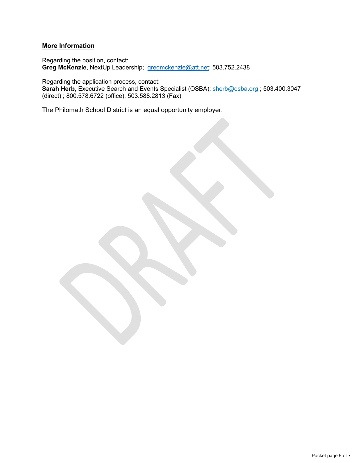### **More Information**

Regarding the position, contact: **Greg McKenzie**, NextUp Leadership; gregmckenzie@att.net; 503.752.2438

Regarding the application process, contact: **Sarah Herb**, Executive Search and Events Specialist (OSBA); sherb@osba.org ; 503.400.3047 (direct) ; 800.578.6722 (office); 503.588.2813 (Fax)

The Philomath School District is an equal opportunity employer.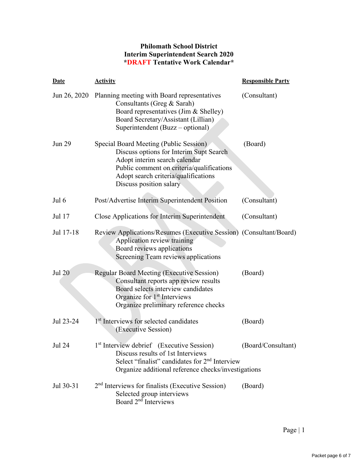### **Philomath School District Interim Superintendent Search 2020 \*DRAFT Tentative Work Calendar\***

| <b>Date</b>   | <b>Activity</b>                                                                                                                                                                                                                    | <b>Responsible Party</b> |
|---------------|------------------------------------------------------------------------------------------------------------------------------------------------------------------------------------------------------------------------------------|--------------------------|
| Jun 26, 2020  | Planning meeting with Board representatives<br>Consultants (Greg & Sarah)<br>Board representatives (Jim & Shelley)<br>Board Secretary/Assistant (Lillian)<br>Superintendent (Buzz – optional)                                      | (Consultant)             |
| Jun 29        | Special Board Meeting (Public Session)<br>Discuss options for Interim Supt Search<br>Adopt interim search calendar<br>Public comment on criteria/qualifications<br>Adopt search criteria/qualifications<br>Discuss position salary | (Board)                  |
| Jul 6         | Post/Advertise Interim Superintendent Position                                                                                                                                                                                     | (Consultant)             |
| Jul 17        | Close Applications for Interim Superintendent                                                                                                                                                                                      | (Consultant)             |
| Jul 17-18     | Review Applications/Resumes (Executive Session) (Consultant/Board)<br>Application review training<br>Board reviews applications<br>Screening Team reviews applications                                                             |                          |
| <b>Jul 20</b> | <b>Regular Board Meeting (Executive Session)</b><br>Consultant reports app review results<br>Board selects interview candidates<br>Organize for 1 <sup>st</sup> Interviews<br>Organize preliminary reference checks                | (Board)                  |
| Jul 23-24     | 1 <sup>st</sup> Interviews for selected candidates<br>(Executive Session)                                                                                                                                                          | (Board)                  |
| <b>Jul 24</b> | 1 <sup>st</sup> Interview debrief (Executive Session)<br>Discuss results of 1st Interviews<br>Select "finalist" candidates for 2 <sup>nd</sup> Interview<br>Organize additional reference checks/investigations                    | (Board/Consultant)       |
| Jul 30-31     | $2nd$ Interviews for finalists (Executive Session)<br>Selected group interviews<br>Board 2 <sup>nd</sup> Interviews                                                                                                                | (Board)                  |